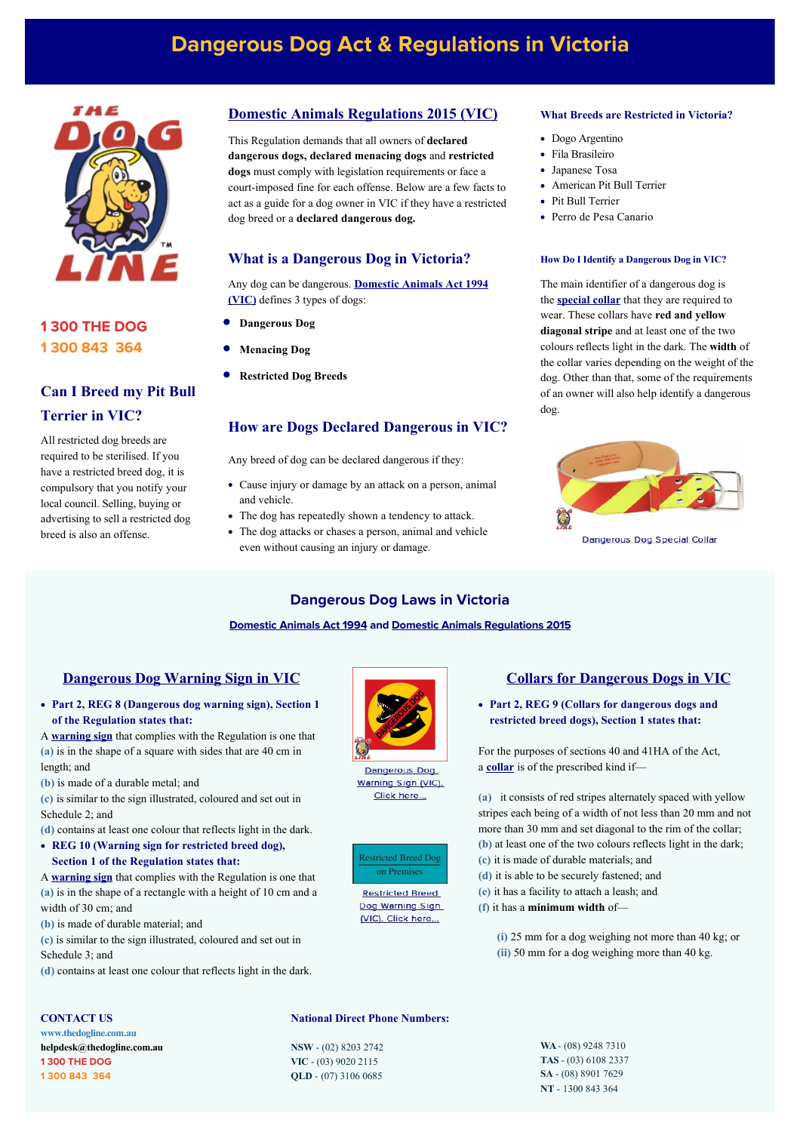# **Dangerous Dog Act & Regulations in Victoria**



## **1 300 THE DOG 1 300 843 364**

## **Can I Breed my Pit Bull Terrier in VIC?**

All restricted dog breeds are required to be sterilised. If you have a restricted breed dog, it is compulsory that you notify your local council. Selling, buying or advertising to sell a restricted dog breed is also an offense.

#### **[Domestic Animals Regulations 2015 \(VIC\)](http://classic.austlii.edu.au/au/legis/vic/consol_reg/dar2015272/)**

This Regulation demands that all owners of **declared dangerous dogs, declared menacing dogs** and **restricted dogs** must comply with legislation requirements or face a court-imposed fine for each offense. Below are a few facts to act as a guide for a dog owner in VIC if they have a restricted dog breed or a **declared dangerous dog.** 

#### **What is a Dangerous Dog in Victoria?**

Any dog can be dangerous. **[Domestic Animals Act 1994](http://www5.austlii.edu.au/au/legis/vic/consol_act/daa1994163/) (VIC)** defines 3 types of dogs:

- **Dangerous Dog**
- **Menacing Dog**
- **Restricted Dog Breeds**

#### **How are Dogs Declared Dangerous in VIC?**

Any breed of dog can be declared dangerous if they:

- Cause injury or damage by an attack on a person, animal and vehicle.
- The dog has repeatedly shown a tendency to attack.
- The dog attacks or chases a person, animal and vehicle even without causing an injury or damage.

#### **What Breeds are Restricted in Victoria?**

- Dogo Argentino
- Fila Brasileiro
- Japanese Tosa
- American Pit Bull Terrier
- Pit Bull Terrier
- Perro de Pesa Canario

#### **How Do I Identify a Dangerous Dog in VIC?**

The main identifier of a dangerous dog is the **[special collar](https://www.thedogline.com.au/buy/dangerous-dog-collar)** that they are required to wear. These collars have **red and yellow diagonal stripe** and at least one of the two colours reflects light in the dark. The **width** of the collar varies depending on the weight of the dog. Other than that, some of the requirements of an owner will also help identify a dangerous dog.



Dangerous Dog Special Collar

#### **Dangerous Dog Laws in Victoria**

#### **[Domestic Animals Act 1994](http://www5.austlii.edu.au/au/legis/vic/consol_act/daa1994163/) and [Domestic Animals Regulations 2015](http://classic.austlii.edu.au/au/legis/vic/consol_reg/dar2015272/)**

#### **[Dangerous Dog Warning Sign in VIC](https://www.thedogline.com.au/buy/dangerous-dog-sign-vic)**

**Part 2, REG 8 (Dangerous dog warning sign), Section 1 of the Regulation states that:** 

A **[warning sign](https://www.thedogline.com.au/buy/dangerous-dog-sign-vic)** that complies with the Regulation is one that **(a)** is in the shape of a square with sides that are 40 cm in length; and

**(b)** is made of a durable metal; and

**(c)** is similar to the sign illustrated, coloured and set out in Schedule 2; and

**(d)** contains at least one colour that reflects light in the dark.

**REG 10 (Warning sign for restricted breed dog), Section 1 of the Regulation states that:** 

A **[warning sign](https://www.thedogline.com.au/buy/restricted-dog-sign-vic)** that complies with the Regulation is one that **(a)** is in the shape of a rectangle with a height of 10 cm and a width of 30 cm; and

- **(b)** is made of durable material; and
- **(c)** is similar to the sign illustrated, coloured and set out in Schedule 3; and
- **(d)** contains at least one colour that reflects light in the dark.

#### **CONTACT US**

**[www.thedogline.com.au](https://www.thedogline.com.au/) [helpdesk@thedogline.com.](mailto:helpdesk@thedogline.com)au 1 300 THE DOG 1 300 843 364**

**Dangerous Dog** Warning Sign (VIC) Click here...



**Restricted Breed** Dog Warning Sign (VIC). Click here...

**National Direct Phone Numbers:**

**NSW** - (02) 8203 2742 **VIC** - (03) 9020 2115 **QLD** - (07) 3106 0685

#### **[Collars for Dangerous Dogs in VIC](https://www.thedogline.com.au/buy/dangerous-dog-collar)**

**Part 2, REG 9 (Collars for dangerous dogs and restricted breed dogs), Section 1 states that:** 

For the purposes of [sections 40](http://www.austlii.edu.au/au/legis/vic/consol_reg/dar2015272/s40.html) and 41HA of the Act, a **[collar](https://www.thedogline.com.au/buy/dangerous-dog-collar)** is of the prescribed kind if—

**(a)** it consists of red stripes alternately spaced with yellow stripes each being of a width of not less than 20 mm and not more than 30 mm and set diagonal to the rim of the collar; **(b)** at least one of the two colours reflects light in the dark;

- **(c)** it is made of durable materials; and
- **(d)** it is able to be securely fastened; and
- **(e)** it has a facility to attach a leash; and
- **(f)** it has a **minimum width** of—

 **(i)** 25 mm for a dog weighing not more than 40 kg; or **(ii)** 50 mm for a dog weighing more than 40 kg.

> **WA** - (08) 9248 7310 **TAS** - (03) 6108 2337 **SA** - (08) 8901 7629 **NT** - 1300 843 364